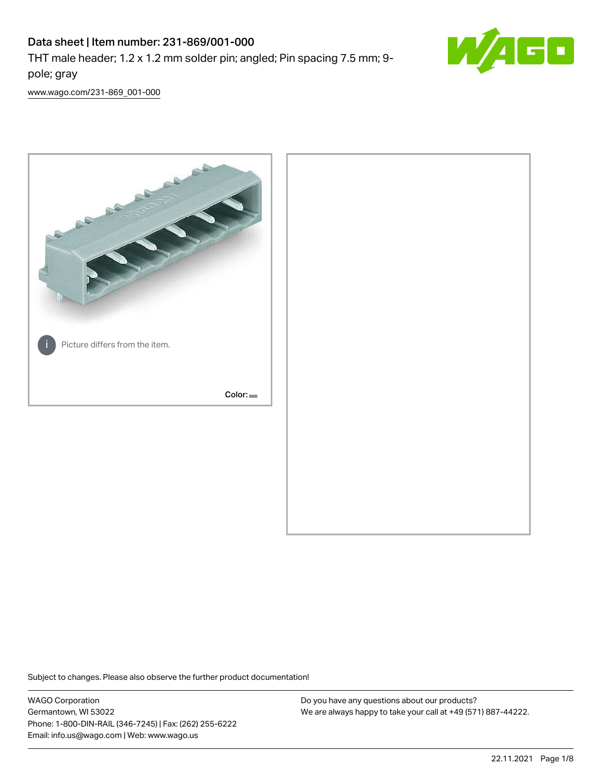# Data sheet | Item number: 231-869/001-000

THT male header; 1.2 x 1.2 mm solder pin; angled; Pin spacing 7.5 mm; 9 pole; gray



[www.wago.com/231-869\\_001-000](http://www.wago.com/231-869_001-000)



Subject to changes. Please also observe the further product documentation!

WAGO Corporation Germantown, WI 53022 Phone: 1-800-DIN-RAIL (346-7245) | Fax: (262) 255-6222 Email: info.us@wago.com | Web: www.wago.us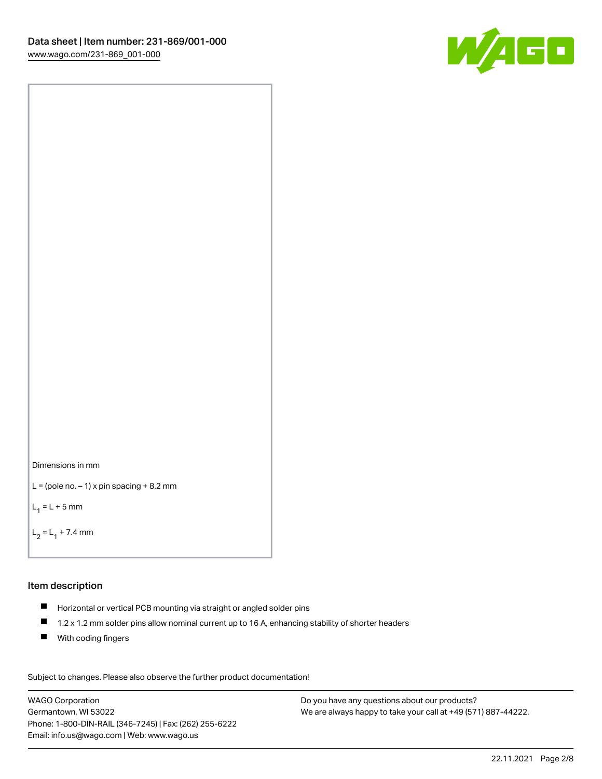



```
L = (pole no. -1) x pin spacing +8.2 mm
```
 $L_1 = L + 5$  mm

```
L_2 = L_1 + 7.4 mm
```
# Item description

- Horizontal or vertical PCB mounting via straight or angled solder pins
- $\blacksquare$ 1.2 x 1.2 mm solder pins allow nominal current up to 16 A, enhancing stability of shorter headers
- **With coding fingers**

Subject to changes. Please also observe the further product documentation! Data

WAGO Corporation Germantown, WI 53022 Phone: 1-800-DIN-RAIL (346-7245) | Fax: (262) 255-6222 Email: info.us@wago.com | Web: www.wago.us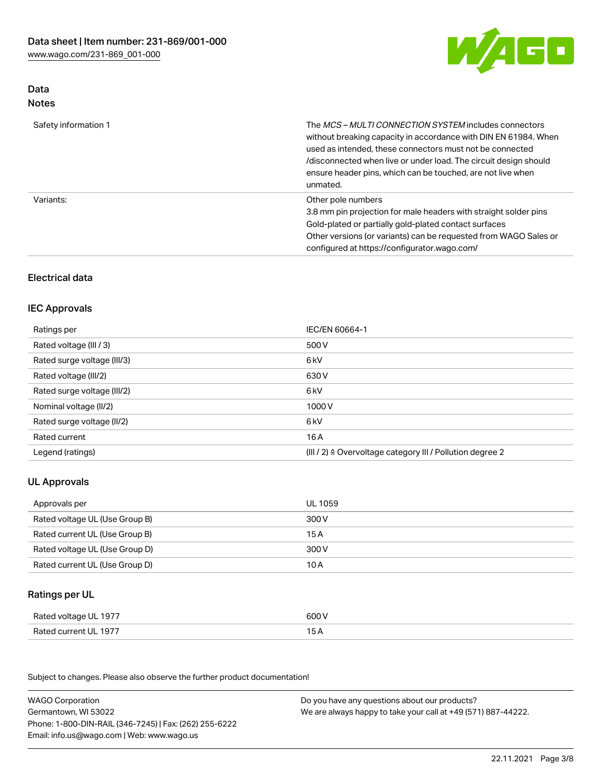

## Data Notes

| Safety information 1 | The <i>MCS – MULTI CONNECTION SYSTEM</i> includes connectors<br>without breaking capacity in accordance with DIN EN 61984. When<br>used as intended, these connectors must not be connected<br>/disconnected when live or under load. The circuit design should<br>ensure header pins, which can be touched, are not live when<br>unmated. |
|----------------------|--------------------------------------------------------------------------------------------------------------------------------------------------------------------------------------------------------------------------------------------------------------------------------------------------------------------------------------------|
| Variants:            | Other pole numbers<br>3.8 mm pin projection for male headers with straight solder pins<br>Gold-plated or partially gold-plated contact surfaces<br>Other versions (or variants) can be requested from WAGO Sales or<br>configured at https://configurator.wago.com/                                                                        |

# Electrical data

# IEC Approvals

| Ratings per                 | IEC/EN 60664-1                                                        |
|-----------------------------|-----------------------------------------------------------------------|
| Rated voltage (III / 3)     | 500 V                                                                 |
| Rated surge voltage (III/3) | 6 kV                                                                  |
| Rated voltage (III/2)       | 630 V                                                                 |
| Rated surge voltage (III/2) | 6 <sub>k</sub> V                                                      |
| Nominal voltage (II/2)      | 1000V                                                                 |
| Rated surge voltage (II/2)  | 6 <sub>k</sub> V                                                      |
| Rated current               | 16A                                                                   |
| Legend (ratings)            | $(III / 2)$ $\triangle$ Overvoltage category III / Pollution degree 2 |

# UL Approvals

| Approvals per                  | UL 1059 |
|--------------------------------|---------|
| Rated voltage UL (Use Group B) | 300 V   |
| Rated current UL (Use Group B) | 15 A    |
| Rated voltage UL (Use Group D) | 300 V   |
| Rated current UL (Use Group D) | 10 A    |

## Ratings per UL

| Rated voltage UL 1977 | 600 V |
|-----------------------|-------|
| Rated current UL 1977 |       |

Subject to changes. Please also observe the further product documentation!

| <b>WAGO Corporation</b>                                | Do you have any questions about our products?                 |
|--------------------------------------------------------|---------------------------------------------------------------|
| Germantown, WI 53022                                   | We are always happy to take your call at +49 (571) 887-44222. |
| Phone: 1-800-DIN-RAIL (346-7245)   Fax: (262) 255-6222 |                                                               |
| Email: info.us@wago.com   Web: www.wago.us             |                                                               |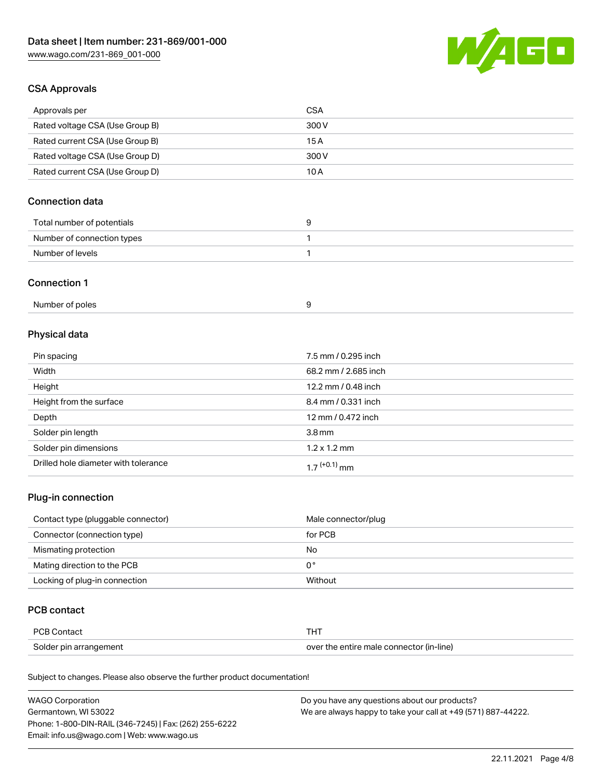

# CSA Approvals

| Approvals per                   | CSA   |
|---------------------------------|-------|
| Rated voltage CSA (Use Group B) | 300 V |
| Rated current CSA (Use Group B) | 15 A  |
| Rated voltage CSA (Use Group D) | 300 V |
| Rated current CSA (Use Group D) | 10 A  |

# Connection data

| Total number of potentials |  |
|----------------------------|--|
| Number of connection types |  |
| Number of levels           |  |

#### Connection 1

| Number of poles |  |
|-----------------|--|
|-----------------|--|

# Physical data

| Pin spacing                          | 7.5 mm / 0.295 inch  |
|--------------------------------------|----------------------|
| Width                                | 68.2 mm / 2.685 inch |
| Height                               | 12.2 mm / 0.48 inch  |
| Height from the surface              | 8.4 mm / 0.331 inch  |
| Depth                                | 12 mm / 0.472 inch   |
| Solder pin length                    | 3.8 <sub>mm</sub>    |
| Solder pin dimensions                | $1.2 \times 1.2$ mm  |
| Drilled hole diameter with tolerance | $17^{(+0.1)}$ mm     |

# Plug-in connection

| Contact type (pluggable connector) | Male connector/plug |
|------------------------------------|---------------------|
| Connector (connection type)        | for PCB             |
| Mismating protection               | No                  |
| Mating direction to the PCB        | 0°                  |
| Locking of plug-in connection      | Without             |

# PCB contact

| PCB Contact            |                                          |
|------------------------|------------------------------------------|
| Solder pin arrangement | over the entire male connector (in-line) |

Subject to changes. Please also observe the further product documentation!

| <b>WAGO Corporation</b>                                | Do you have any questions about our products?                 |
|--------------------------------------------------------|---------------------------------------------------------------|
| Germantown, WI 53022                                   | We are always happy to take your call at +49 (571) 887-44222. |
| Phone: 1-800-DIN-RAIL (346-7245)   Fax: (262) 255-6222 |                                                               |
| Email: info.us@wago.com   Web: www.wago.us             |                                                               |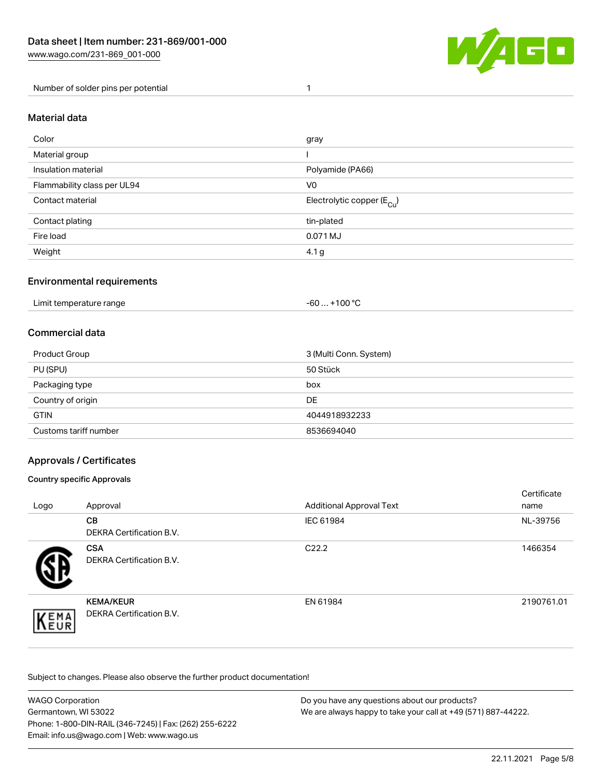

Number of solder pins per potential 1

#### Material data

| Color                       | gray                                    |
|-----------------------------|-----------------------------------------|
| Material group              |                                         |
| Insulation material         | Polyamide (PA66)                        |
| Flammability class per UL94 | V <sub>0</sub>                          |
| Contact material            | Electrolytic copper ( $E_{\text{Cu}}$ ) |
| Contact plating             | tin-plated                              |
| Fire load                   | 0.071 MJ                                |
| Weight                      | 4.1 <sub>g</sub>                        |

### Environmental requirements

Limit temperature range  $-60... +100$  °C

#### Commercial data

| Product Group         | 3 (Multi Conn. System) |
|-----------------------|------------------------|
| PU (SPU)              | 50 Stück               |
| Packaging type        | box                    |
| Country of origin     | DE                     |
| <b>GTIN</b>           | 4044918932233          |
| Customs tariff number | 8536694040             |

## Approvals / Certificates

#### Country specific Approvals

| Logo                | Approval                                            | <b>Additional Approval Text</b> | Certificate<br>name |
|---------------------|-----------------------------------------------------|---------------------------------|---------------------|
|                     | <b>CB</b><br><b>DEKRA Certification B.V.</b>        | IEC 61984                       | NL-39756            |
|                     | <b>CSA</b><br>DEKRA Certification B.V.              | C <sub>22.2</sub>               | 1466354             |
| EMA<br><b>INEUR</b> | <b>KEMA/KEUR</b><br><b>DEKRA Certification B.V.</b> | EN 61984                        | 2190761.01          |

Subject to changes. Please also observe the further product documentation!

| <b>WAGO Corporation</b>                                | Do you have any questions about our products?                 |
|--------------------------------------------------------|---------------------------------------------------------------|
| Germantown, WI 53022                                   | We are always happy to take your call at +49 (571) 887-44222. |
| Phone: 1-800-DIN-RAIL (346-7245)   Fax: (262) 255-6222 |                                                               |
| Email: info.us@wago.com   Web: www.wago.us             |                                                               |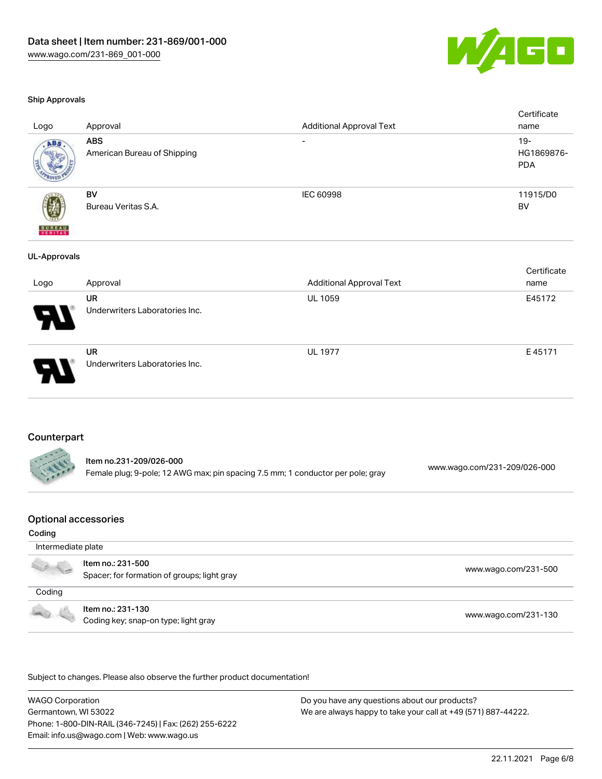

#### Ship Approvals

| Logo                | Approval                                    | <b>Additional Approval Text</b> | Certificate<br>name                |
|---------------------|---------------------------------------------|---------------------------------|------------------------------------|
| ABS                 | <b>ABS</b><br>American Bureau of Shipping   | $\overline{\phantom{a}}$        | $19 -$<br>HG1869876-<br><b>PDA</b> |
| <b>BUREAU</b>       | BV<br>Bureau Veritas S.A.                   | IEC 60998                       | 11915/D0<br>BV                     |
| <b>UL-Approvals</b> |                                             |                                 |                                    |
| Logo                | Approval                                    | <b>Additional Approval Text</b> | Certificate<br>name                |
|                     | <b>UR</b><br>Underwriters Laboratories Inc. | UL 1059                         | E45172                             |
|                     | <b>UR</b><br>Underwriters Laboratories Inc. | <b>UL 1977</b>                  | E45171                             |

#### Counterpart

| Item no.231-209/026-000                                                         | www.wago.com/231-209/026-000 |
|---------------------------------------------------------------------------------|------------------------------|
| Female plug; 9-pole; 12 AWG max; pin spacing 7.5 mm; 1 conductor per pole; gray |                              |

## Optional accessories

#### Coding

| Intermediate plate                                                                                                                                                                                                                   |                                                                  |                      |  |
|--------------------------------------------------------------------------------------------------------------------------------------------------------------------------------------------------------------------------------------|------------------------------------------------------------------|----------------------|--|
| <b>CONTROLL BY CONTROLL BY CONTROLL BY CONTROLL</b>                                                                                                                                                                                  | ltem no.: 231-500<br>Spacer; for formation of groups; light gray | www.wago.com/231-500 |  |
| Coding                                                                                                                                                                                                                               |                                                                  |                      |  |
| <b>Contract Contract Contract Contract Contract Contract Contract Contract Contract Contract Contract Contract Contract Contract Contract Contract Contract Contract Contract Contract Contract Contract Contract Contract Contr</b> | Item no.: 231-130<br>Coding key; snap-on type; light gray        | www.wago.com/231-130 |  |

.<br>Subject to changes. Please also observe the further product documentation!

WAGO Corporation Germantown, WI 53022 Phone: 1-800-DIN-RAIL (346-7245) | Fax: (262) 255-6222 Email: info.us@wago.com | Web: www.wago.us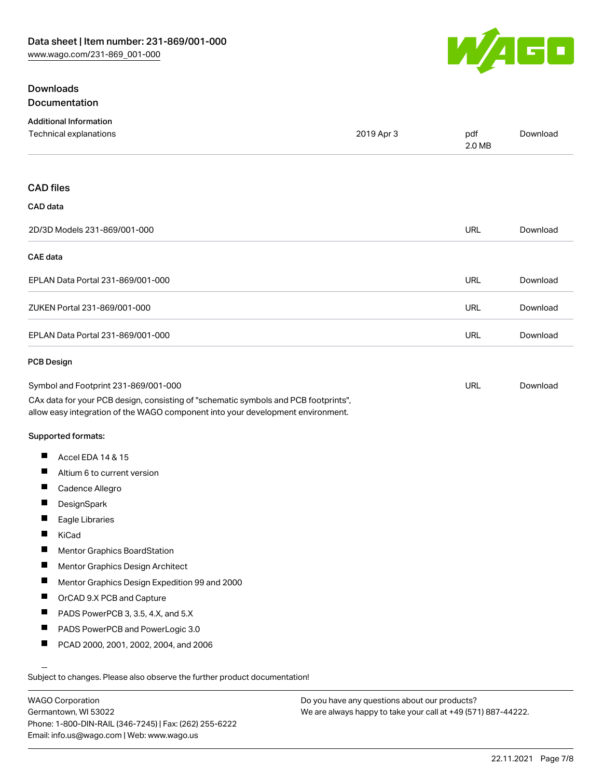

# **Downloads** Documentation

| <b>Additional Information</b><br>Technical explanations                                                                                                                | 2019 Apr 3 | pdf<br>2.0 MB | Download |
|------------------------------------------------------------------------------------------------------------------------------------------------------------------------|------------|---------------|----------|
|                                                                                                                                                                        |            |               |          |
| <b>CAD files</b>                                                                                                                                                       |            |               |          |
| CAD data                                                                                                                                                               |            |               |          |
| 2D/3D Models 231-869/001-000                                                                                                                                           |            | <b>URL</b>    | Download |
| <b>CAE</b> data                                                                                                                                                        |            |               |          |
| EPLAN Data Portal 231-869/001-000                                                                                                                                      |            | URL           | Download |
| ZUKEN Portal 231-869/001-000                                                                                                                                           |            | <b>URL</b>    | Download |
| EPLAN Data Portal 231-869/001-000                                                                                                                                      |            | <b>URL</b>    | Download |
| <b>PCB Design</b>                                                                                                                                                      |            |               |          |
| Symbol and Footprint 231-869/001-000                                                                                                                                   |            | <b>URL</b>    | Download |
| CAx data for your PCB design, consisting of "schematic symbols and PCB footprints",<br>allow easy integration of the WAGO component into your development environment. |            |               |          |
| Supported formats:                                                                                                                                                     |            |               |          |
| ш<br>Accel EDA 14 & 15                                                                                                                                                 |            |               |          |
| ш<br>Altium 6 to current version                                                                                                                                       |            |               |          |
| П<br>Cadence Allegro                                                                                                                                                   |            |               |          |
| ш<br>DesignSpark                                                                                                                                                       |            |               |          |
| Eagle Libraries                                                                                                                                                        |            |               |          |
| KiCad                                                                                                                                                                  |            |               |          |
| Ш<br>Mentor Graphics BoardStation                                                                                                                                      |            |               |          |
| П<br>Mentor Graphics Design Architect                                                                                                                                  |            |               |          |
| ш<br>Mentor Graphics Design Expedition 99 and 2000                                                                                                                     |            |               |          |
| ш<br>OrCAD 9.X PCB and Capture                                                                                                                                         |            |               |          |
| PADS PowerPCB 3, 3.5, 4.X, and 5.X                                                                                                                                     |            |               |          |
| ш<br>PADS PowerPCB and PowerLogic 3.0                                                                                                                                  |            |               |          |
| ш<br>PCAD 2000, 2001, 2002, 2004, and 2006                                                                                                                             |            |               |          |
|                                                                                                                                                                        |            |               |          |
| Subject to changes. Please also observe the further product documentation!                                                                                             |            |               |          |

WAGO Corporation Germantown, WI 53022 Phone: 1-800-DIN-RAIL (346-7245) | Fax: (262) 255-6222 Email: info.us@wago.com | Web: www.wago.us